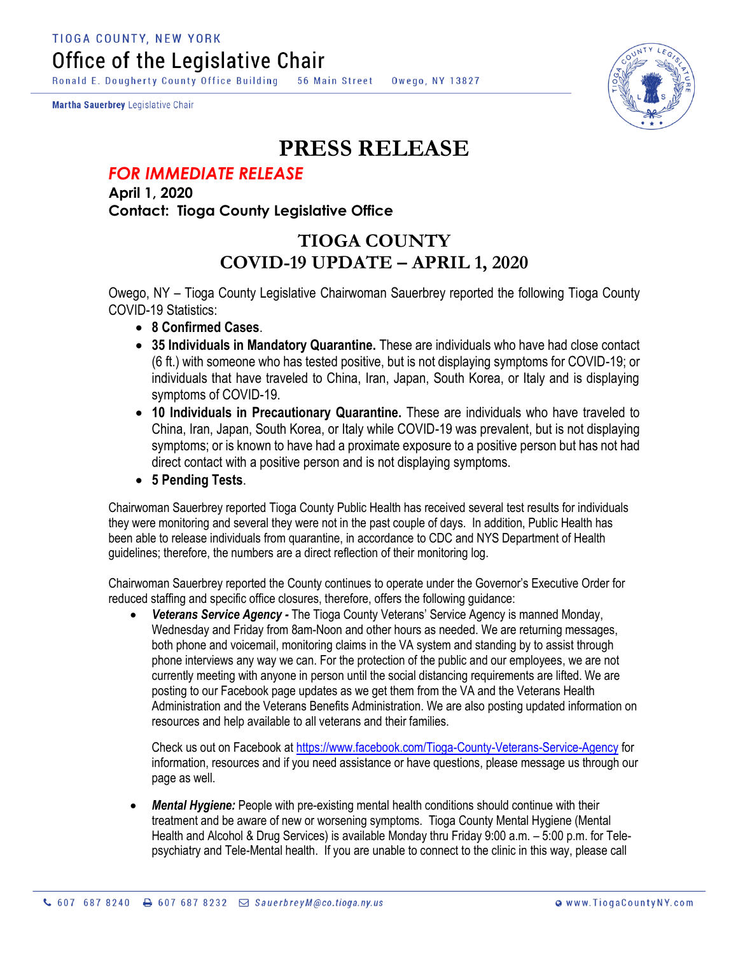Ronald E. Dougherty County Office Building 56 Main Street Owego, NY 13827

Martha Sauerbrey Legislative Chair



## **PRESS RELEASE**

## *FOR IMMEDIATE RELEASE*

**April 1, 2020 Contact: Tioga County Legislative Office**

## **TIOGA COUNTY COVID-19 UPDATE – APRIL 1, 2020**

Owego, NY – Tioga County Legislative Chairwoman Sauerbrey reported the following Tioga County COVID-19 Statistics:

- **8 Confirmed Cases**.
- **35 Individuals in Mandatory Quarantine.** These are individuals who have had close contact (6 ft.) with someone who has tested positive, but is not displaying symptoms for COVID-19; or individuals that have traveled to China, Iran, Japan, South Korea, or Italy and is displaying symptoms of COVID-19.
- **10 Individuals in Precautionary Quarantine.** These are individuals who have traveled to China, Iran, Japan, South Korea, or Italy while COVID-19 was prevalent, but is not displaying symptoms; or is known to have had a proximate exposure to a positive person but has not had direct contact with a positive person and is not displaying symptoms.
- **5 Pending Tests**.

Chairwoman Sauerbrey reported Tioga County Public Health has received several test results for individuals they were monitoring and several they were not in the past couple of days. In addition, Public Health has been able to release individuals from quarantine, in accordance to CDC and NYS Department of Health guidelines; therefore, the numbers are a direct reflection of their monitoring log.

Chairwoman Sauerbrey reported the County continues to operate under the Governor's Executive Order for reduced staffing and specific office closures, therefore, offers the following guidance:

 *Veterans Service Agency -* The Tioga County Veterans' Service Agency is manned Monday, Wednesday and Friday from 8am-Noon and other hours as needed. We are returning messages, both phone and voicemail, monitoring claims in the VA system and standing by to assist through phone interviews any way we can. For the protection of the public and our employees, we are not currently meeting with anyone in person until the social distancing requirements are lifted. We are posting to our Facebook page updates as we get them from the VA and the Veterans Health Administration and the Veterans Benefits Administration. We are also posting updated information on resources and help available to all veterans and their families.

Check us out on Facebook at <https://www.facebook.com/Tioga-County-Veterans-Service-Agency> for information, resources and if you need assistance or have questions, please message us through our page as well.

 *Mental Hygiene:* People with pre-existing mental health conditions should continue with their treatment and be aware of new or worsening symptoms. Tioga County Mental Hygiene (Mental Health and Alcohol & Drug Services) is available Monday thru Friday 9:00 a.m. – 5:00 p.m. for Telepsychiatry and Tele-Mental health. If you are unable to connect to the clinic in this way, please call